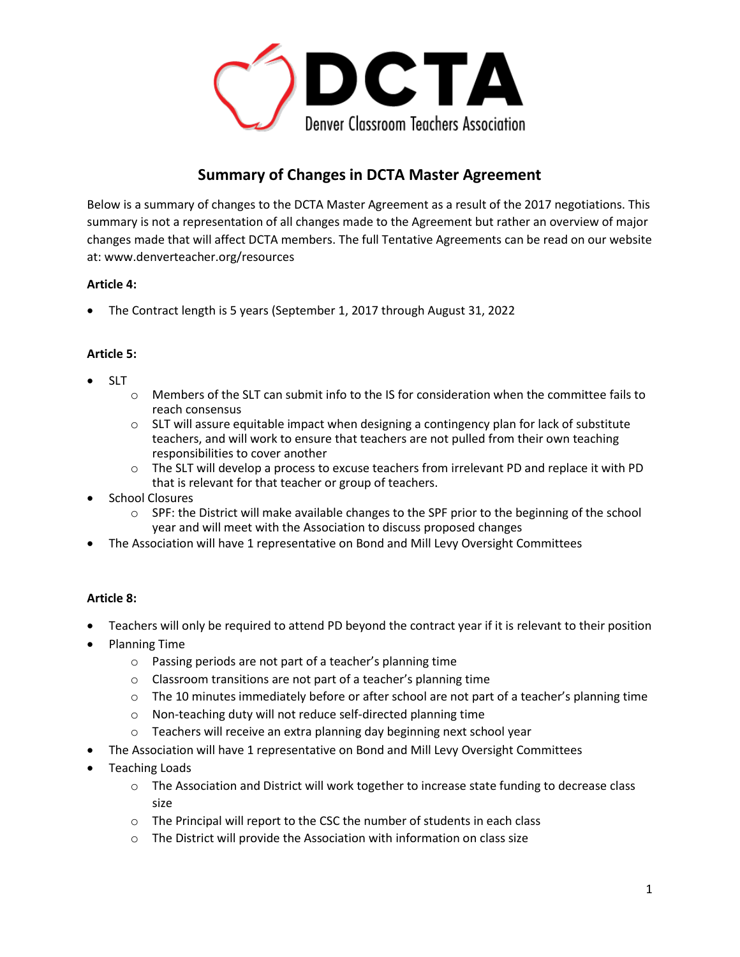

# **Summary of Changes in DCTA Master Agreement**

Below is a summary of changes to the DCTA Master Agreement as a result of the 2017 negotiations. This summary is not a representation of all changes made to the Agreement but rather an overview of major changes made that will affect DCTA members. The full Tentative Agreements can be read on our website at: www.denverteacher.org/resources

## **Article 4:**

The Contract length is 5 years (September 1, 2017 through August 31, 2022

## **Article 5:**

- SLT
- $\circ$  Members of the SLT can submit info to the IS for consideration when the committee fails to reach consensus
- $\circ$  SLT will assure equitable impact when designing a contingency plan for lack of substitute teachers, and will work to ensure that teachers are not pulled from their own teaching responsibilities to cover another
- $\circ$  The SLT will develop a process to excuse teachers from irrelevant PD and replace it with PD that is relevant for that teacher or group of teachers.
- School Closures
	- $\circ$  SPF: the District will make available changes to the SPF prior to the beginning of the school year and will meet with the Association to discuss proposed changes
- The Association will have 1 representative on Bond and Mill Levy Oversight Committees

#### **Article 8:**

- Teachers will only be required to attend PD beyond the contract year if it is relevant to their position
- Planning Time
	- o Passing periods are not part of a teacher's planning time
	- o Classroom transitions are not part of a teacher's planning time
	- o The 10 minutes immediately before or after school are not part of a teacher's planning time
	- o Non-teaching duty will not reduce self-directed planning time
	- o Teachers will receive an extra planning day beginning next school year
- The Association will have 1 representative on Bond and Mill Levy Oversight Committees
- Teaching Loads
	- $\circ$  The Association and District will work together to increase state funding to decrease class size
	- o The Principal will report to the CSC the number of students in each class
	- o The District will provide the Association with information on class size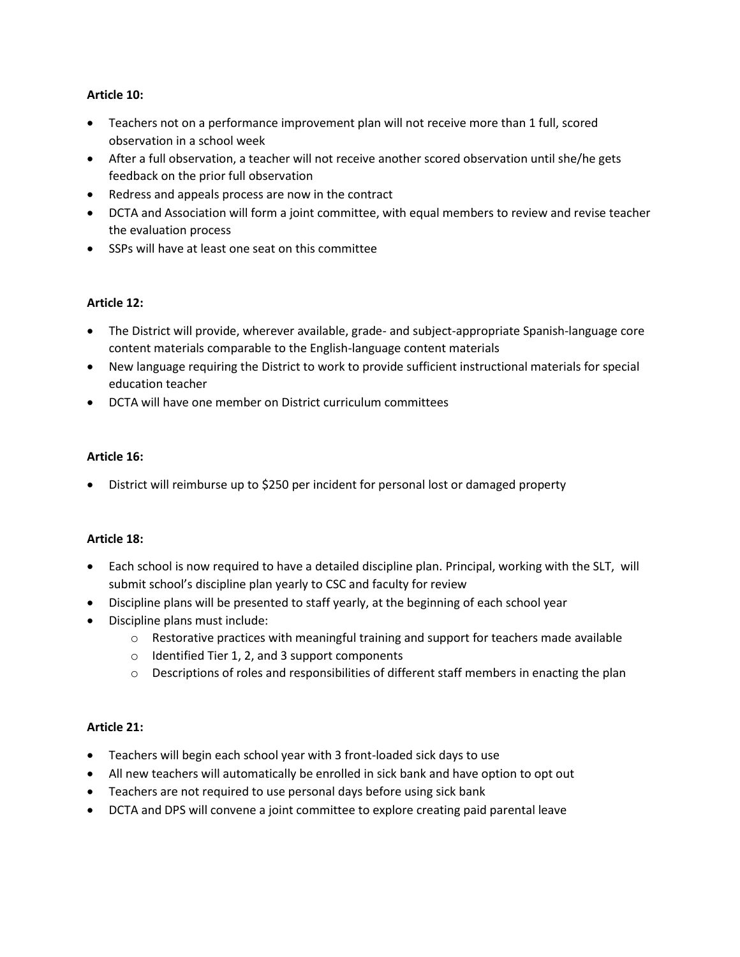## **Article 10:**

- Teachers not on a performance improvement plan will not receive more than 1 full, scored observation in a school week
- After a full observation, a teacher will not receive another scored observation until she/he gets feedback on the prior full observation
- Redress and appeals process are now in the contract
- DCTA and Association will form a joint committee, with equal members to review and revise teacher the evaluation process
- SSPs will have at least one seat on this committee

## **Article 12:**

- The District will provide, wherever available, grade- and subject-appropriate Spanish-language core content materials comparable to the English-language content materials
- New language requiring the District to work to provide sufficient instructional materials for special education teacher
- DCTA will have one member on District curriculum committees

#### **Article 16:**

District will reimburse up to \$250 per incident for personal lost or damaged property

#### **Article 18:**

- Each school is now required to have a detailed discipline plan. Principal, working with the SLT, will submit school's discipline plan yearly to CSC and faculty for review
- Discipline plans will be presented to staff yearly, at the beginning of each school year
- Discipline plans must include:
	- $\circ$  Restorative practices with meaningful training and support for teachers made available
	- o Identified Tier 1, 2, and 3 support components
	- $\circ$  Descriptions of roles and responsibilities of different staff members in enacting the plan

#### **Article 21:**

- Teachers will begin each school year with 3 front-loaded sick days to use
- All new teachers will automatically be enrolled in sick bank and have option to opt out
- Teachers are not required to use personal days before using sick bank
- DCTA and DPS will convene a joint committee to explore creating paid parental leave